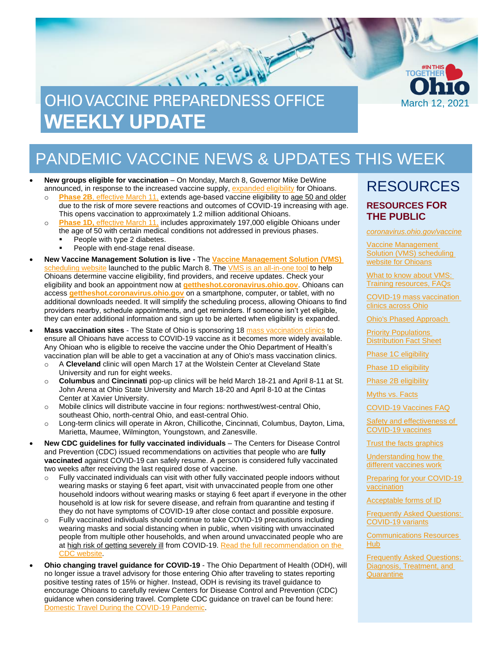

# PANDEMIC VACCINE NEWS & UPDATES THIS WEEK

- **New groups eligible for vaccination** On Monday, March 8, Governor Mike DeWine announced, in response to the increased vaccine supply, [expanded eligibility](https://coronavirus.ohio.gov/static/vaccine/general_fact_sheet.pdf) for Ohioans.
	- o **Phase 2B**[, effective March 11,](https://odh.ohio.gov/static/covid19/vaccine-providers/provider-info-phase-2b.pdf) extends age-based vaccine eligibility to age 50 and older due to the risk of more severe reactions and outcomes of COVID-19 increasing with age. This opens vaccination to approximately 1.2 million additional Ohioans.
	- o **Phase 1D,** [effective March 11,](https://odh.ohio.gov/static/covid19/vaccine-providers/provider-info-phase-1d.pdf) includes approximately 197,000 eligible Ohioans under the age of 50 with certain medical conditions not addressed in previous phases.
		- People with type 2 diabetes.
		- People with end-stage renal disease.
- **New Vaccine Management Solution is live -** The **[Vaccine Management Solution \(VMS\)](https://gettheshot.coronavirus.ohio.gov/)**  [scheduling website](https://gettheshot.coronavirus.ohio.gov/) launched to the public March 8. The [VMS is an all-in-one tool](https://coronavirus.ohio.gov/wps/portal/gov/covid-19/covid-19-vaccination-program/get-the-shot/get-the-shot) to help Ohioans determine vaccine eligibility, find providers, and receive updates. Check your eligibility and book an appointment now at **[gettheshot.coronavirus.ohio.gov](https://gettheshot.coronavirus.ohio.gov/)**. Ohioans can access **[gettheshot.coronavirus.ohio.gov](https://gettheshot.coronavirus.ohio.gov/)** on a smartphone, computer, or tablet, with no additional downloads needed. It will simplify the scheduling process, allowing Ohioans to find providers nearby, schedule appointments, and get reminders. If someone isn't yet eligible, they can enter additional information and sign up to be alerted when eligibility is expanded.
- **Mass vaccination sites** The State of Ohio is sponsoring 1[8 mass vaccination clinics](https://coronavirus.ohio.gov/wps/portal/gov/covid-19/covid-19-vaccination-program/resources/covid-19-mass-vaccination-clinics) to ensure all Ohioans have access to COVID-19 vaccine as it becomes more widely available. Any Ohioan who is eligible to receive the vaccine under the Ohio Department of Health's vaccination plan will be able to get a vaccination at any of Ohio's mass vaccination clinics.
	- o A **Cleveland** clinic will open March 17 at the Wolstein Center at Cleveland State University and run for eight weeks.
	- o **Columbus** and **Cincinnati** pop-up clinics will be held March 18-21 and April 8-11 at St. John Arena at Ohio State University and March 18-20 and April 8-10 at the Cintas Center at Xavier University.
	- o Mobile clinics will distribute vaccine in four regions: northwest/west-central Ohio, southeast Ohio, north-central Ohio, and east-central Ohio.
	- o Long-term clinics will operate in Akron, Chillicothe, Cincinnati, Columbus, Dayton, Lima, Marietta, Maumee, Wilmington, Youngstown, and Zanesville.
- **New CDC guidelines for fully vaccinated individuals**  The Centers for Disease Control and Prevention (CDC) issued recommendations on activities that people who are **fully vaccinated** against COVID-19 can safely resume. A person is considered fully vaccinated two weeks after receiving the last required dose of vaccine.
	- o Fully vaccinated individuals can visit with other fully vaccinated people indoors without wearing masks or staying 6 feet apart, visit with unvaccinated people from one other household indoors without wearing masks or staying 6 feet apart if everyone in the other household is at low risk for severe disease, and refrain from quarantine and testing if they do not have symptoms of COVID-19 after close contact and possible exposure.
	- o Fully vaccinated individuals should continue to take COVID-19 precautions including wearing masks and social distancing when in public, when visiting with unvaccinated people from multiple other households, and when around unvaccinated people who are at high risk of getting severely ill from COVID-19. Read the full recommendation on the [CDC website.](https://www.cdc.gov/coronavirus/2019-ncov/vaccines/fully-vaccinated.html)
- **Ohio changing travel guidance for COVID-19** The Ohio Department of Health (ODH), will no longer issue a travel advisory for those entering Ohio after traveling to states reporting positive testing rates of 15% or higher. Instead, ODH is revising its travel guidance to encourage Ohioans to carefully review Centers for Disease Control and Prevention (CDC) guidance when considering travel. Complete CDC guidance on travel can be found here: [Domestic Travel During the COVID-19 Pandemic.](https://www.cdc.gov/coronavirus/2019-ncov/travelers/travel-during-covid19.html)

### RESOURCES **RESOURCES FOR THE PUBLIC**

*[coronavirus.ohio.gov/vaccine](https://coronavirus.ohio.gov/vaccine)*

[Vaccine Management](https://gettheshot.coronavirus.ohio.gov/)  [Solution \(VMS\) scheduling](https://gettheshot.coronavirus.ohio.gov/)  [website for Ohioans](https://gettheshot.coronavirus.ohio.gov/)

[What to know about VMS:](https://coronavirus.ohio.gov/wps/portal/gov/covid-19/covid-19-vaccination-program/get-the-shot/get-the-shot)  [Training resources, FAQs](https://coronavirus.ohio.gov/wps/portal/gov/covid-19/covid-19-vaccination-program/get-the-shot/get-the-shot)

[COVID-19 mass vaccination](https://coronavirus.ohio.gov/wps/portal/gov/covid-19/covid-19-vaccination-program/resources/covid-19-mass-vaccination-clinics)  [clinics across Ohio](https://coronavirus.ohio.gov/wps/portal/gov/covid-19/covid-19-vaccination-program/resources/covid-19-mass-vaccination-clinics)

[Ohio's Phased Approach](https://coronavirus.ohio.gov/static/vaccine/phased_approach_ohio.jpg) 

[Priority Populations](https://coronavirus.ohio.gov/static/vaccine/general_fact_sheet.pdf)  [Distribution Fact Sheet](https://coronavirus.ohio.gov/static/vaccine/general_fact_sheet.pdf)

[Phase 1C eligibility](http://coronavirus.ohio.gov/static/vaccine/phase-1c-fact-sheet.pdf)

[Phase 1D eligibility](https://coronavirus.ohio.gov/static/vaccine/phase-1d-covid-19-distribution-fact-sheet.pdf)

[Phase 2B eligibility](https://coronavirus.ohio.gov/static/vaccine/phase-2b-covid-19-distribution-fact-sheet.pdf)

[Myths vs. Facts](https://coronavirus.ohio.gov/wps/portal/gov/covid-19/covid-19-vaccination-program/19-vaccine-myths-vs-facts/19-vaccine-myths-vs-facts)

[COVID-19 Vaccines FAQ](https://coronavirus.ohio.gov/wps/portal/gov/covid-19/resources/general-resources/frequently-asked-questions+covid-19-vaccine)

[Safety and effectiveness of](https://coronavirus.ohio.gov/static/vaccine/covid-19-vaccine-safety.pdf)  [COVID-19 vaccines](https://coronavirus.ohio.gov/static/vaccine/covid-19-vaccine-safety.pdf)

[Trust the facts graphics](https://coronavirus.ohio.gov/static/vaccine/trust_the_facts_full.jpg)

[Understanding how the](https://coronavirus.ohio.gov/static/vaccine/covid-19-how-vaccines-work.pdf)  [different vaccines work](https://coronavirus.ohio.gov/static/vaccine/covid-19-how-vaccines-work.pdf)

[Preparing for your COVID-19](https://coronavirus.ohio.gov/static/vaccine/covid-19-fact-sheet-vaccine-appointment.pdf)  [vaccination](https://coronavirus.ohio.gov/static/vaccine/covid-19-fact-sheet-vaccine-appointment.pdf)

[Acceptable forms of ID](https://coronavirus.ohio.gov/static/vaccine/covid-19-fact-sheet-forms-of-id.pdf)

[Frequently Asked Questions:](https://coronavirus.ohio.gov/wps/portal/gov/covid-19/resources/general-resources/faqs-covid-19-variants)  [COVID-19 variants](https://coronavirus.ohio.gov/wps/portal/gov/covid-19/resources/general-resources/faqs-covid-19-variants)

[Communications Resources](https://coronavirus.ohio.gov/wps/portal/gov/covid-19/health-equity/communications-resources-hub/communications-resources-hub)  [Hub](https://coronavirus.ohio.gov/wps/portal/gov/covid-19/health-equity/communications-resources-hub/communications-resources-hub)

**Frequently Asked Questions:** Diagnosis, Treatment, and **[Quarantine](https://coronavirus.ohio.gov/static/faqs/covid-19-faqs-diagnosis-treatment-and-quarantine.pdf)**